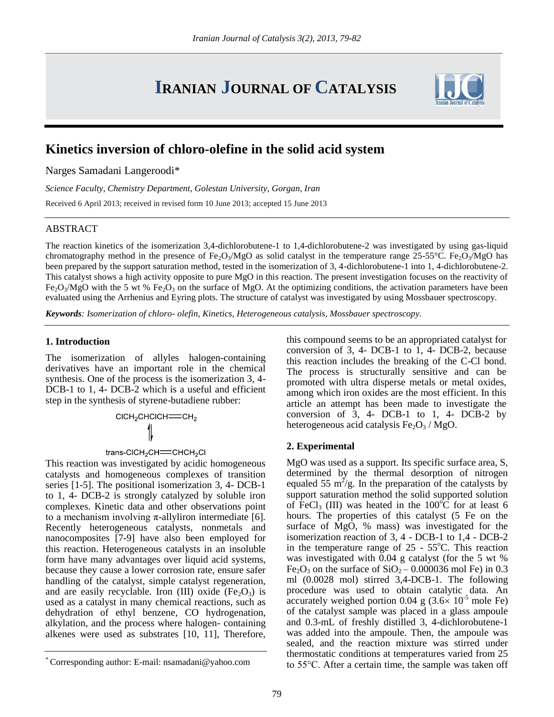# **IRANIAN JOURNAL OF CATALYSIS**



Narges Samadani Langeroodi\*

*Science Faculty, Chemistry Department, Golestan University, Gorgan, Iran*

Received 6 April 2013; received in revised form 10 June 2013; accepted 15 June 2013

# ABSTRACT

The reaction kinetics of the isomerization 3,4-dichlorobutene-1 to 1,4-dichlorobutene-2 was investigated by using gas-liquid chromatography method in the presence of Fe<sub>2</sub>O<sub>3</sub>/MgO as solid catalyst in the temperature range 25-55°C. Fe<sub>2</sub>O<sub>3</sub>/MgO has been prepared by the support saturation method, tested in the isomerization of 3, 4-dichlorobutene-1 into 1, 4-dichlorobutene-2. This catalyst shows a high activity opposite to pure MgO in this reaction. The present investigation focuses on the reactivity of  $Fe<sub>2</sub>O<sub>3</sub>/MgO$  with the 5 wt %  $Fe<sub>2</sub>O<sub>3</sub>$  on the surface of MgO. At the optimizing conditions, the activation parameters have been evaluated using the Arrhenius and Eyring plots. The structure of catalyst was investigated by using Mossbauer spectroscopy.

*Keywords: Isomerization of chloro- olefin, Kinetics, Heterogeneous catalysis, Mossbauer spectroscopy.*

# **1. Introduction**

The isomerization of allyles halogen-containing derivatives have an important role in the chemical synthesis. One of the process is the isomerization 3, 4- DCB-1 to 1, 4- DCB-2 which is a useful and efficient step in the synthesis of styrene-butadiene rubber:

 $CICH_2CHCICH = CH_2$ 

# trans-CICH<sub>2</sub>CH= $CHCH<sub>2</sub>Cl$

This reaction was investigated by acidic homogeneous catalysts and homogeneous complexes of transition series [1-5]. The positional isomerization 3, 4- DCB-1 to 1, 4- DCB-2 is strongly catalyzed by soluble iron complexes. Kinetic data and other observations point to a mechanism involving  $π$ -allyliron intermediate [6]. Recently heterogeneous catalysts, nonmetals and nanocomposites [7-9] have also been employed for this reaction. Heterogeneous catalysts in an insoluble form have many advantages over liquid acid systems, because they cause a lower corrosion rate, ensure safer handling of the catalyst, simple catalyst regeneration, and are easily recyclable. Iron (III) oxide  $(Fe<sub>2</sub>O<sub>3</sub>)$  is used as a catalyst in many chemical reactions, such as dehydration of ethyl benzene, CO hydrogenation, alkylation, and the process where halogen- containing alkenes were used as substrates [10, 11], Therefore,

this compound seems to be an appropriated catalyst for conversion of 3, 4- DCB-1 to 1, 4- DCB-2, because this reaction includes the breaking of the C-Cl bond. The process is structurally sensitive and can be promoted with ultra disperse metals or metal oxides, among which iron oxides are the most efficient. In this article an attempt has been made to investigate the conversion of 3, 4- DCB-1 to 1, 4- DCB-2 by heterogeneous acid catalysis  $Fe<sub>2</sub>O<sub>3</sub>$  / MgO.

# **2. Experimental**

MgO was used as a support. Its specific surface area, S, determined by the thermal desorption of nitrogen equaled 55  $\text{m}^2/\text{g}$ . In the preparation of the catalysts by support saturation method the solid supported solution of FeCl<sub>3</sub> (III) was heated in the 100 $^{\circ}$ C for at least 6 hours. The properties of this catalyst (5 Fe on the surface of MgO, % mass) was investigated for the isomerization reaction of 3, 4 - DCB-1 to 1,4 - DCB-2 in the temperature range of  $25 - 55^{\circ}$ C. This reaction was investigated with 0.04 g catalyst (for the 5 wt % Fe<sub>2</sub>O<sub>3</sub> on the surface of  $SiO_2 - 0.000036$  mol Fe) in 0.3 ml (0.0028 mol) stirred 3,4-DCB-1. The following procedure was used to obtain catalytic data. An accurately weighed portion 0.04 g  $(3.6 \times 10^{-5} \text{ mole Fe})$ of the catalyst sample was placed in a glass ampoule and 0.3-mL of freshly distilled 3, 4-dichlorobutene-1 was added into the ampoule. Then, the ampoule was sealed, and the reaction mixture was stirred under thermostatic conditions at temperatures varied from 25 to 55°С. After a certain time, the sample was taken off



<sup>\*</sup> Corresponding author: E-mail: nsamadani@yahoo.com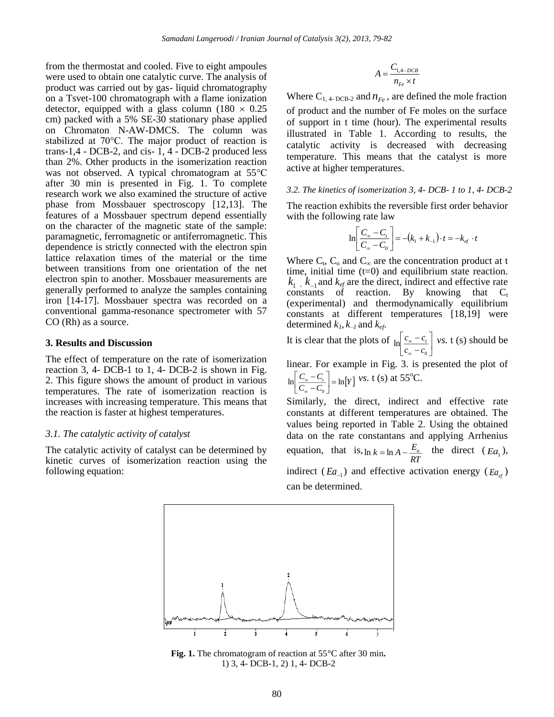from the thermostat and cooled. Five to eight ampoules were used to obtain one catalytic curve. The analysis of product was carried out by gas- liquid chromatography on a Tsvet-100 chromatograph with a flame ionization detector, equipped with a glass column (180  $\times$  0.25 cm) packed with a 5% SE-30 stationary phase applied on Chromaton N-AW-DMCS. The column was stabilized at 70°С. The major product of reaction is trans-1,4 - DCB-2, and cis- 1, 4 - DCB-2 produced less than 2%. Other products in the isomerization reaction was not observed. A typical chromatogram at 55°С after 30 min is presented in Fig. 1. To complete research work we also examined the structure of active phase from Mossbauer spectroscopy [12,13]. The features of a Mossbauer spectrum depend essentially on the character of the magnetic state of the sample: paramagnetic, ferromagnetic or antiferromagnetic. This dependence is strictly connected with the electron spin lattice relaxation times of the material or the time between transitions from one orientation of the net electron spin to another. Mossbauer measurements are generally performed to analyze the samples containing iron [14-17]. Mossbauer spectra was recorded on a conventional gamma-resonance spectrometer with 57 CO (Rh) as a source.

## **3. Results and Discussion**

The effect of temperature on the rate of isomerization reaction 3, 4- DCB-1 to 1, 4- DCB-2 is shown in Fig. 2. This figure shows the amount of product in various temperatures. The rate of isomerization reaction is increases with increasing temperature. This means that the reaction is faster at highest temperatures.

### *3.1. The catalytic activity of catalyst*

The catalytic activity of catalyst can be determined by kinetic curves of isomerization reaction using the following equation:

$$
A = \frac{C_{1,4-DCB}}{n_{Fe} \times t}
$$

Where  $C_{1, 4 \text{-} DCB-2}$  and  $n_{Fe}$ , are defined the mole fraction of product and the number of Fe moles on the surface of support in t time (hour). The experimental results illustrated in Table 1. According to results, the catalytic activity is decreased with decreasing temperature. This means that the catalyst is more active at higher temperatures.

## *3.2. The kinetics of isomerization 3, 4- DCB- 1 to 1, 4- DCB-2*

The reaction exhibits the reversible first order behavior with the following rate law

$$
\ln \left[ \frac{C_{\infty} - C_t}{C_{\infty} - C_0} \right] = -(k_1 + k_{-1}) \cdot t = -k_{ef} \cdot t
$$

Where  $C_t$ ,  $C_o$  and  $C_\infty$  are the concentration product at t time, initial time  $(t=0)$  and equilibrium state reaction.  $k_1$ ,  $k_{-1}$  and  $k_{ef}$  are the direct, indirect and effective rate constants of reaction. By knowing that  $C_t$ (experimental) and thermodynamically equilibrium constants at different temperatures [18,19] were determined  $k_l$ ,  $k_l$  and  $k_{ef}$ .

It is clear that the plots of l 」 1  $\lfloor$ ſ - 1 Ξ. ∞ ∞ 0  $\ln \frac{c_{\infty} - c_1}{c_1 - c_2}$  $c_{\infty} - c_{t}$  *vs.* t (s) should be

linear. For example in Fig. 3. is presented the plot of  $\left| \frac{C_{\infty} - C_{t}}{C_{\infty} - C_{0}} \right| = \ln[Y]$  $\begin{bmatrix} \frac{t}{0} \\ 0 \end{bmatrix}$  = 1 ŀ Г Ξ, Ξ, ∞  $\left[\frac{v_s - C_t}{v_s - L} \right]$  =  $\ln[v]$  vs. t (s) at 55<sup>o</sup>C.

Similarly, the direct, indirect and effective rate constants at different temperatures are obtained. The values being reported in Table 2. Using the obtained data on the rate constantans and applying Arrhenius equation, that is,  $\ln k = \ln A - \frac{E_a}{RT}$  $\ln k = \ln A - \frac{E_a}{2}$  the direct  $(Ea_1)$ , indirect ( $Ea_{-1}$ ) and effective activation energy ( $Ea_{ef}$ ) can be determined.



**Fig. 1.** The chromatogram of reaction at 55°C after 30 min**.** 1) 3, 4- DCB-1, 2) 1, 4- DCB-2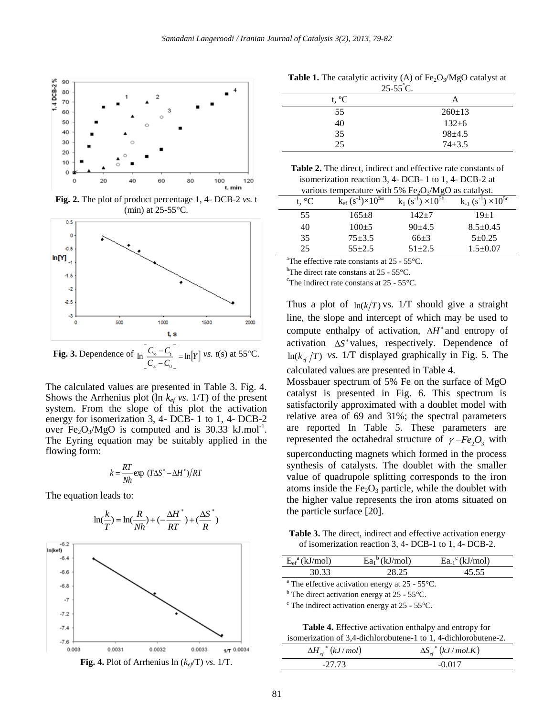

**Fig. 2.** The plot of product percentage 1, 4- DCB-2 *vs.* t (min) at  $25-55$ °C.



The calculated values are presented in Table 3. Fig. 4. Shows the Arrhenius plot (ln  $k_{ef}$  *vs.* 1/T) of the present system. From the slope of this plot the activation energy for isomerization 3, 4- DCB- 1 to 1, 4- DCB-2 over  $Fe<sub>2</sub>O<sub>3</sub>/MgO$  is computed and is 30.33 kJ.mol<sup>-1</sup>. The Eyring equation may be suitably applied in the flowing form:

$$
k = \frac{RT}{Nh} \exp (T\Delta S^* - \Delta H^*)/RT
$$

The equation leads to:



**Fig. 4.** Plot of Arrhenius  $\ln (k_{ef}/T)$  *vs.* 1/T.

| $25-55$ C.     |              |  |
|----------------|--------------|--|
| t, $^{\circ}C$ | A            |  |
| 55             | $260 \pm 13$ |  |
| 40             | $132 \pm 6$  |  |
| 35             | $98 + 4.5$   |  |

25 74±3.5

| <b>Table 1.</b> The catalytic activity (A) of $Fe2O3/MgO$ catalyst at |  |
|-----------------------------------------------------------------------|--|
| $25-55^{\circ}$ C.                                                    |  |

| <b>Table 2.</b> The direct, indirect and effective rate constants of |
|----------------------------------------------------------------------|
| isomerization reaction 3, 4- DCB-1 to 1, 4- DCB-2 at                 |
| various temperature with 5% $Fe2O3/MgO$ as catalyst.                 |

| t. $^{\circ}C$ | $k_{\rm ef}$ (s <sup>-1</sup> )×10 <sup>5a</sup> | $k_1$ (s <sup>-1</sup> ) $\times 10^{5b}$ | $k_1(s^{-1}) \times 10^{5c}$ |
|----------------|--------------------------------------------------|-------------------------------------------|------------------------------|
| 55             | $165+8$                                          | $142 + 7$                                 | $19+1$                       |
| 40             | $100+5$                                          | $90+4.5$                                  | $8.5 \pm 0.45$               |
| 35             | $75 + 3.5$                                       | $66+3$                                    | $5 + 0.25$                   |
| 25             | $55+2.5$                                         | $51 + 2.5$                                | $1.5 \pm 0.07$               |

<sup>a</sup>The effective rate constants at  $25 - 55^{\circ}$ C.

<sup>b</sup>The direct rate constans at  $25 - 55^{\circ}$ C.

<sup>c</sup>The indirect rate constans at  $25 - 55$ °C.

Thus a plot of  $ln(k/T)$  vs. 1/T should give a straight line, the slope and intercept of which may be used to compute enthalpy of activation,  $\Delta H^*$  and entropy of activation  $\Delta S^*$  values, respectively. Dependence of  $\ln(k_{\text{ef}}/T)$  vs. 1/T displayed graphically in Fig. 5. The calculated values are presented in Table 4.

Mossbauer spectrum of 5% Fe on the surface of MgO catalyst is presented in Fig. 6. This spectrum is satisfactorily approximated with a doublet model with relative area of 69 and 31%; the spectral parameters are reported In Table 5. These parameters are represented the octahedral structure of  $\gamma$ -Fe<sub>2</sub>O<sub>3</sub> with superconducting magnets which formed in the process synthesis of catalysts. The doublet with the smaller value of quadrupole splitting corresponds to the iron atoms inside the  $Fe<sub>2</sub>O<sub>3</sub>$  particle, while the doublet with the higher value represents the iron atoms situated on the particle surface [20].

**Table 3.** The direct, indirect and effective activation energy of isomerization reaction 3, 4- DCB-1 to 1, 4- DCB-2.

| $E_{\rm ef}^{a}$ (kJ/mol) | $\text{Ea}_1^b$ (kJ/mol) | $\text{Ea}_{-1}^{\circ}$ (kJ/mol) |  |
|---------------------------|--------------------------|-----------------------------------|--|
| 30.33                     |                          | 5 55                              |  |

<sup>a</sup> The effective activation energy at  $25 - 55^{\circ}$ C.

 $<sup>b</sup>$  The direct activation energy at 25 - 55 $^{\circ}$ C.</sup>

 $\textdegree$  The indirect activation energy at 25 - 55 $\textdegree$ C.

**Table 4.** Effective activation enthalpy and entropy for isomerization of 3,4-dichlorobutene-1 to 1, 4-dichlorobutene-2.

| $\Delta H_{\text{ef}}^*$ $(kJ/mol)$ | $\Delta S_{\rm ef}^*$ $(kJ/mol.K)$ |
|-------------------------------------|------------------------------------|
| -27.73                              | -0.017                             |